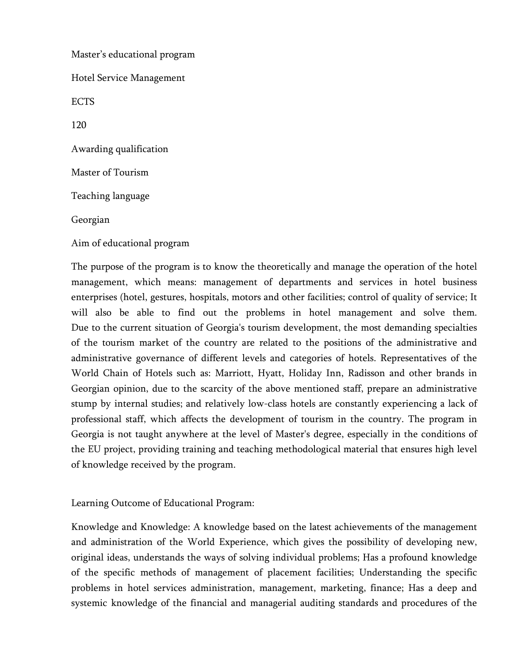Master's educational program Hotel Service Management ECTS 120 Awarding qualification Master of Tourism Teaching language Georgian Aim of educational program

The purpose of the program is to know the theoretically and manage the operation of the hotel management, which means: management of departments and services in hotel business enterprises (hotel, gestures, hospitals, motors and other facilities; control of quality of service; It will also be able to find out the problems in hotel management and solve them. Due to the current situation of Georgia's tourism development, the most demanding specialties of the tourism market of the country are related to the positions of the administrative and administrative governance of different levels and categories of hotels. Representatives of the World Chain of Hotels such as: Marriott, Hyatt, Holiday Inn, Radisson and other brands in Georgian opinion, due to the scarcity of the above mentioned staff, prepare an administrative stump by internal studies; and relatively low-class hotels are constantly experiencing a lack of professional staff, which affects the development of tourism in the country. The program in Georgia is not taught anywhere at the level of Master's degree, especially in the conditions of the EU project, providing training and teaching methodological material that ensures high level of knowledge received by the program.

Learning Outcome of Educational Program:

Knowledge and Knowledge: A knowledge based on the latest achievements of the management and administration of the World Experience, which gives the possibility of developing new, original ideas, understands the ways of solving individual problems; Has a profound knowledge of the specific methods of management of placement facilities; Understanding the specific problems in hotel services administration, management, marketing, finance; Has a deep and systemic knowledge of the financial and managerial auditing standards and procedures of the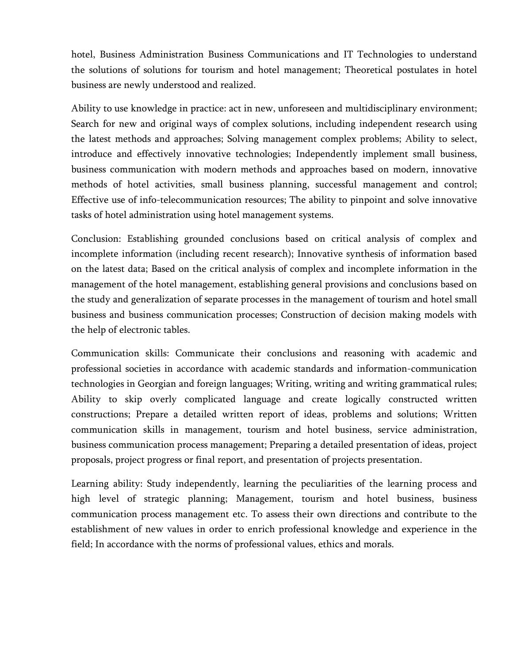hotel, Business Administration Business Communications and IT Technologies to understand the solutions of solutions for tourism and hotel management; Theoretical postulates in hotel business are newly understood and realized.

Ability to use knowledge in practice: act in new, unforeseen and multidisciplinary environment; Search for new and original ways of complex solutions, including independent research using the latest methods and approaches; Solving management complex problems; Ability to select, introduce and effectively innovative technologies; Independently implement small business, business communication with modern methods and approaches based on modern, innovative methods of hotel activities, small business planning, successful management and control; Effective use of info-telecommunication resources; The ability to pinpoint and solve innovative tasks of hotel administration using hotel management systems.

Conclusion: Establishing grounded conclusions based on critical analysis of complex and incomplete information (including recent research); Innovative synthesis of information based on the latest data; Based on the critical analysis of complex and incomplete information in the management of the hotel management, establishing general provisions and conclusions based on the study and generalization of separate processes in the management of tourism and hotel small business and business communication processes; Construction of decision making models with the help of electronic tables.

Communication skills: Communicate their conclusions and reasoning with academic and professional societies in accordance with academic standards and information-communication technologies in Georgian and foreign languages; Writing, writing and writing grammatical rules; Ability to skip overly complicated language and create logically constructed written constructions; Prepare a detailed written report of ideas, problems and solutions; Written communication skills in management, tourism and hotel business, service administration, business communication process management; Preparing a detailed presentation of ideas, project proposals, project progress or final report, and presentation of projects presentation.

Learning ability: Study independently, learning the peculiarities of the learning process and high level of strategic planning; Management, tourism and hotel business, business communication process management etc. To assess their own directions and contribute to the establishment of new values in order to enrich professional knowledge and experience in the field; In accordance with the norms of professional values, ethics and morals.